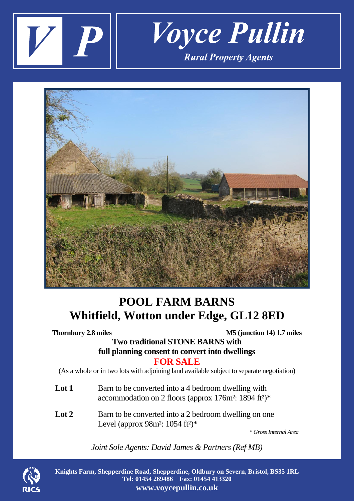



# **POOL FARM BARNS Whitfield, Wotton under Edge, GL12 8ED**

| <b>Thornbury 2.8 miles</b> | M5 (junction 14) 1.7 miles<br><b>Two traditional STONE BARNS with</b><br>full planning consent to convert into dwellings                         |
|----------------------------|--------------------------------------------------------------------------------------------------------------------------------------------------|
|                            | <b>FOR SALE</b><br>(As a whole or in two lots with adjoining land available subject to separate negotiation)                                     |
| Lot 1                      | Barn to be converted into a 4 bedroom dwelling with<br>accommodation on 2 floors (approx 176m <sup>2</sup> : 1894 ft <sup>2</sup> ) <sup>*</sup> |
| Lot $2$                    | Barn to be converted into a 2 bedroom dwelling on one<br>Level (approx 98m <sup>2</sup> : 1054 ft <sup>2</sup> ) <sup>*</sup>                    |

 *\* Gross Internal Area*

*Joint Sole Agents: David James & Partners (Ref MB)*



**Knights Farm, Shepperdine Road, Shepperdine, Oldbury on Severn, Bristol, BS35 1RL Tel: 01454 269486 Fax: 01454 413320 www.voycepullin.co.uk**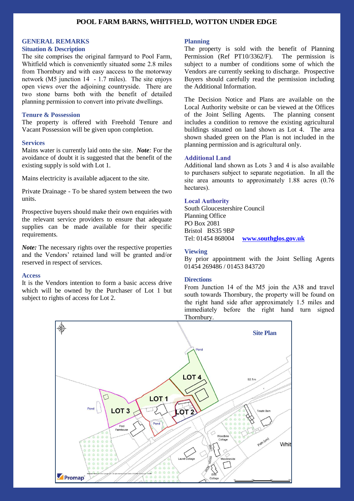### **POOL FARM BARNS, WHITFIELD, WOTTON UNDER EDGE**

#### **GENERAL REMARKS**

#### **Situation & Description**

The site comprises the original farmyard to Pool Farm, Whitfield which is conveniently situated some 2.8 miles from Thornbury and with easy aaccess to the motorway network (M5 junction 14 - 1.7 miles). The site enjoys open views over the adjoining countryside. There are two stone barns both with the benefit of detailed planning permission to convert into private dwellings.

### **Tenure & Possession**

The property is offered with Freehold Tenure and Vacant Possession will be given upon completion.

#### **Services**

Mains water is currently laid onto the site. *Note:* For the avoidance of doubt it is suggested that the benefit of the existing supply is sold with Lot 1.

Mains electricity is available adjacent to the site.

Private Drainage - To be shared system between the two units.

Prospective buyers should make their own enquiries with the relevant service providers to ensure that adequate supplies can be made available for their specific requirements.

*Note:* The necessary rights over the respective properties and the Vendors' retained land will be granted and/or reserved in respect of services.

#### **Access**

It is the Vendors intention to form a basic access drive which will be owned by the Purchaser of Lot 1 but subject to rights of access for Lot 2.

#### **Planning**

The property is sold with the benefit of Planning Permission (Ref PT10/3362/F). The permission is subject to a number of conditions some of which the Vendors are currently seeking to discharge. Prospective Buyers should carefully read the permission including the Additional Information.

The Decision Notice and Plans are available on the Local Authority website or can be viewed at the Offices of the Joint Selling Agents. The planning consent includes a condition to remove the existing agricultural buildings situated on land shown as Lot 4. The area shown shaded green on the Plan is not included in the planning permission and is agricultural only.

#### **Additional Land**

Additional land shown as Lots 3 and 4 is also available to purchasers subject to separate negotiation. In all the site area amounts to approximately 1.88 acres (0.76 hectares).

#### **Local Authority**

South Gloucestershire Council Planning Office PO Box 2081 Bristol BS35 9BP Tel: 01454 868004 **[www.southglos.gov.uk](http://www.southglos.gov.uk/)**

#### **Viewing**

By prior appointment with the Joint Selling Agents 01454 269486 / 01453 843720

#### **Directions**

From Junction 14 of the M5 join the A38 and travel south towards Thornbury, the property will be found on the right hand side after approximately 1.5 miles and immediately before the right hand turn signed Thornbury.

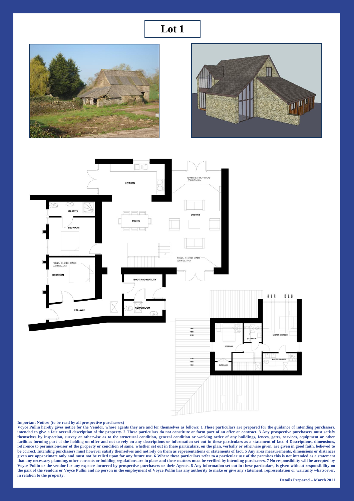## **Lot 1**

![](_page_2_Picture_1.jpeg)

![](_page_2_Picture_2.jpeg)

![](_page_2_Figure_3.jpeg)

#### **Important Notice: (to be read by all prospective purchasers)**

**Voyce Pullin hereby gives notice for the Vendor, whose agents they are and for themselves as follows: 1 These particulars are prepared for the guidance of intending purchasers, intended to give a fair overall description of the property. 2 These particulars do not constitute or form part of an offer or contract. 3 Any prospective purchasers must satisfy themselves by inspection, survey or otherwise as to the structural condition, general condition or working order of any buildings, fences, gates, services, equipment or other**  facilities forming part of the holding on offer and not to rely on any descriptions or information set out in these particulars as a statement of fact. 4 Descriptions, dimensions, **reference to permission/user of the property or condition of same, whether set out in these particulars, on the plan, verbally or otherwise given, are given in good faith, believed to be correct. Intending purchasers must however satisfy themselves and not rely on them as representations or statements of fact. 5 Any area measurements, dimensions or distances**  given are approximate only and must not be relied upon for any future use. 6 Where these particulars refer to a particular use of the premises this is not intended as a statement **that any necessary planning, other consents or building regulations are in place and these matters must be verified by intending purchasers. 7 No responsibility will be accepted by Voyce Pullin or the vendor for any expense incurred by prospective purchasers or their Agents. 8 Any information set out in these particulars, is given without responsibility on the part of the vendors or Voyce Pullin and no person in the employment of Voyce Pullin has any authority to make or give any statement, representation or warranty whatsoever, in relation to the property.**